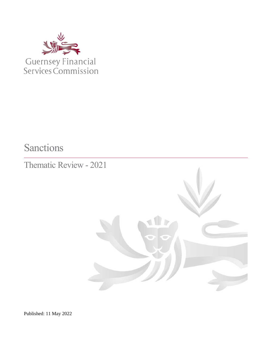

Sanctions

Thematic Review - 2021



Published: 11 May 2022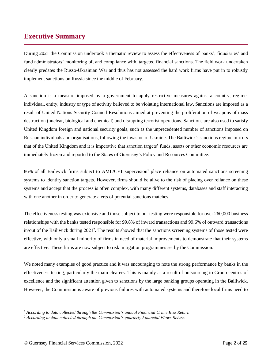## <span id="page-1-0"></span>**Executive Summary**

During 2021 the Commission undertook a thematic review to assess the effectiveness of banks', fiduciaries' and fund administrators' monitoring of, and compliance with, targeted financial sanctions. The field work undertaken clearly predates the Russo-Ukrainian War and thus has not assessed the hard work firms have put in to robustly implement sanctions on Russia since the middle of February.

A sanction is a measure imposed by a government to apply restrictive measures against a country, regime, individual, entity, industry or type of activity believed to be violating international law. Sanctions are imposed as a result of United Nations Security Council Resolutions aimed at preventing the proliferation of weapons of mass destruction (nuclear, biological and chemical) and disrupting terrorist operations. Sanctions are also used to satisfy United Kingdom foreign and national security goals, such as the unprecedented number of sanctions imposed on Russian individuals and organisations, following the invasion of Ukraine. The Bailiwick's sanctions regime mirrors that of the United Kingdom and it is imperative that sanction targets' funds, assets or other economic resources are immediately frozen and reported to the States of Guernsey's Policy and Resources Committee.

86% of all Bailiwick firms subject to AML/CFT supervision<sup>1</sup> place reliance on automated sanctions screening systems to identify sanction targets. However, firms should be alive to the risk of placing over reliance on these systems and accept that the process is often complex, with many different systems, databases and staff interacting with one another in order to generate alerts of potential sanctions matches.

The effectiveness testing was extensive and those subject to our testing were responsible for over 260,000 business relationships with the banks tested responsible for 99.8% of inward transactions and 99.6% of outward transactions in/out of the Bailiwick during 2021<sup>2</sup>. The results showed that the sanctions screening systems of those tested were effective, with only a small minority of firms in need of material improvements to demonstrate that their systems are effective. These firms are now subject to risk mitigation programmes set by the Commission.

We noted many examples of good practice and it was encouraging to note the strong performance by banks in the effectiveness testing, particularly the main clearers. This is mainly as a result of outsourcing to Group centres of excellence and the significant attention given to sanctions by the large banking groups operating in the Bailiwick. However, the Commission is aware of previous failures with automated systems and therefore local firms need to

<sup>1</sup> *According to data collected through the Commission's annual Financial Crime Risk Return*

<sup>2</sup> *According to data collected through the Commission's quarterly Financial Flows Return*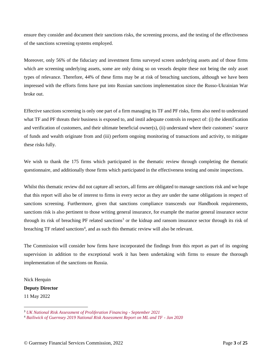ensure they consider and document their sanctions risks, the screening process, and the testing of the effectiveness of the sanctions screening systems employed.

Moreover, only 56% of the fiduciary and investment firms surveyed screen underlying assets and of those firms which are screening underlying assets, some are only doing so on vessels despite these not being the only asset types of relevance. Therefore, 44% of these firms may be at risk of breaching sanctions, although we have been impressed with the efforts firms have put into Russian sanctions implementation since the Russo-Ukrainian War broke out.

Effective sanctions screening is only one part of a firm managing its TF and PF risks, firms also need to understand what TF and PF threats their business is exposed to, and instil adequate controls in respect of: (i) the identification and verification of customers, and their ultimate beneficial owner(s), (ii) understand where their customers' source of funds and wealth originate from and (iii) perform ongoing monitoring of transactions and activity, to mitigate these risks fully.

We wish to thank the 175 firms which participated in the thematic review through completing the thematic questionnaire, and additionally those firms which participated in the effectiveness testing and onsite inspections.

Whilst this thematic review did not capture all sectors, all firms are obligated to manage sanctions risk and we hope that this report will also be of interest to firms in every sector as they are under the same obligations in respect of sanctions screening. Furthermore, given that sanctions compliance transcends our Handbook requirements, sanctions risk is also pertinent to those writing general insurance, for example the marine general insurance sector through its risk of breaching PF related sanctions<sup>3</sup> or the kidnap and ransom insurance sector through its risk of breaching TF related sanctions<sup>4</sup>, and as such this thematic review will also be relevant.

The Commission will consider how firms have incorporated the findings from this report as part of its ongoing supervision in addition to the exceptional work it has been undertaking with firms to ensure the thorough implementation of the sanctions on Russia.

Nick Herquin

**Deputy Director**

11 May 2022

<sup>3</sup> *[UK National Risk Assessment of Proliferation Financing -](https://assets.publishing.service.gov.uk/government/uploads/system/uploads/attachment_data/file/1020695/National_risk_assessment_of_proliferation_financing.pdf) September 2021*

<sup>4</sup> *[Bailiwick of Guernsey 2019 National Risk Assessment Report on ML and TF -](https://www.gov.gg/CHttpHandler.ashx?id=123308&p=0) Jan 2020*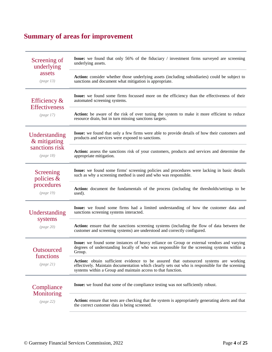# <span id="page-3-0"></span>**Summary of areas for improvement**

| Screening of<br>underlying<br>assets<br>(page 13)            | <b>Issue:</b> we found that only 56% of the fiduciary / investment firms surveyed are screening<br>underlying assets.                                                                                                                                         |  |  |
|--------------------------------------------------------------|---------------------------------------------------------------------------------------------------------------------------------------------------------------------------------------------------------------------------------------------------------------|--|--|
|                                                              | Action: consider whether those underlying assets (including subsidiaries) could be subject to<br>sanctions and document what mitigation is appropriate.                                                                                                       |  |  |
| Efficiency $\&$<br><b>Effectiveness</b><br>(page 17)         | Issue: we found some firms focussed more on the efficiency than the effectiveness of their<br>automated screening systems.                                                                                                                                    |  |  |
|                                                              | Action: be aware of the risk of over tuning the system to make it more efficient to reduce<br>resource drain, but in turn missing sanctions targets.                                                                                                          |  |  |
| Understanding<br>& mitigating<br>sanctions risk<br>(page 18) | Issue: we found that only a few firms were able to provide details of how their customers and<br>products and services were exposed to sanctions.                                                                                                             |  |  |
|                                                              | Action: assess the sanctions risk of your customers, products and services and determine the<br>appropriate mitigation.                                                                                                                                       |  |  |
| Screening<br>policies &<br>procedures<br>(page 19)           | Issue: we found some firms' screening policies and procedures were lacking in basic details<br>such as why a screening method is used and who was responsible.                                                                                                |  |  |
|                                                              | Action: document the fundamentals of the process (including the thresholds/settings to be<br>used).                                                                                                                                                           |  |  |
| Understanding<br>systems<br>(page 20)                        | Issue: we found some firms had a limited understanding of how the customer data and<br>sanctions screening systems interacted.                                                                                                                                |  |  |
|                                                              | Action: ensure that the sanctions screening systems (including the flow of data between the<br>customer and screening systems) are understood and correctly configured.                                                                                       |  |  |
| Outsourced<br>functions<br>(page 21)                         | Issue: we found some instances of heavy reliance on Group or external vendors and varying<br>degrees of understanding locally of who was responsible for the screening systems within a<br>Group.                                                             |  |  |
|                                                              | <b>Action:</b> obtain sufficient evidence to be assured that outsourced systems are working<br>effectively. Maintain documentation which clearly sets out who is responsible for the sceening<br>systems within a Group and maintain access to that function. |  |  |
| Compliance<br>Monitoring<br>(page 22)                        | Issue: we found that some of the compliance testing was not sufficiently robust.                                                                                                                                                                              |  |  |
|                                                              | Action: ensure that tests are checking that the system is appropriately generating alerts and that<br>the correct customer data is being screened.                                                                                                            |  |  |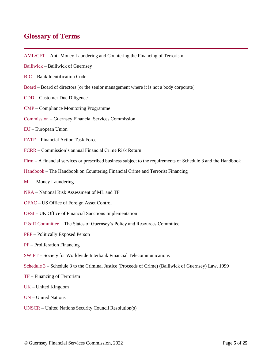### <span id="page-4-0"></span>**Glossary of Terms**

- AML/CFT Anti-Money Laundering and Countering the Financing of Terrorism
- Bailiwick Bailiwick of Guernsey
- BIC Bank Identification Code
- Board Board of directors (or the senior management where it is not a body corporate)
- CDD Customer Due Diligence
- CMP Compliance Monitoring Programme
- Commission Guernsey Financial Services Commission
- EU European Union
- FATF Financial Action Task Force
- FCRR Commission's annual Financial Crime Risk Return
- Firm A financial services or prescribed business subject to the requirements of Schedule 3 and the Handbook
- Handbook The Handbook on Countering Financial Crime and Terrorist Financing
- ML Money Laundering
- NRA National Risk Assessment of ML and TF
- OFAC US Office of Foreign Asset Control
- OFSI UK Office of Financial Sanctions Implementation
- P & R Committee The States of Guernsey's Policy and Resources Committee
- PEP Politically Exposed Person
- PF Proliferation Financing
- SWIFT Society for Worldwide Interbank Financial Telecommunications
- Schedule 3 Schedule 3 to the Criminal Justice (Proceeds of Crime) (Bailiwick of Guernsey) Law, 1999
- TF Financing of Terrorism
- UK United Kingdom
- UN United Nations
- UNSCR United Nations Security Council Resolution(s)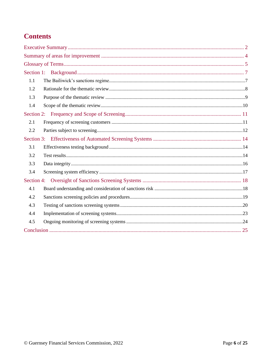## **Contents**

| 1.1        |  |  |  |  |
|------------|--|--|--|--|
| 1.2        |  |  |  |  |
| 1.3        |  |  |  |  |
| 1.4        |  |  |  |  |
|            |  |  |  |  |
| 2.1        |  |  |  |  |
| 2.2        |  |  |  |  |
|            |  |  |  |  |
| 3.1        |  |  |  |  |
| 3.2        |  |  |  |  |
| 3.3        |  |  |  |  |
| 3.4        |  |  |  |  |
| Section 4: |  |  |  |  |
| 4.1        |  |  |  |  |
| 4.2        |  |  |  |  |
| 4.3        |  |  |  |  |
| 4.4        |  |  |  |  |
| 4.5        |  |  |  |  |
|            |  |  |  |  |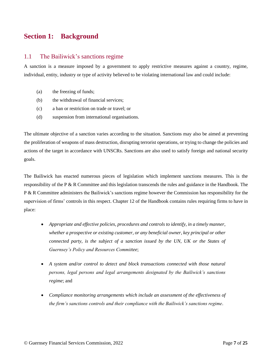## <span id="page-6-0"></span>**Section 1: Background**

#### <span id="page-6-1"></span>1.1 The Bailiwick's sanctions regime

A sanction is a measure imposed by a government to apply restrictive measures against a country, regime, individual, entity, industry or type of activity believed to be violating international law and could include:

- (a) the freezing of funds;
- (b) the withdrawal of financial services;
- (c) a ban or restriction on trade or travel; or
- (d) suspension from international organisations.

The ultimate objective of a sanction varies according to the situation. Sanctions may also be aimed at preventing the proliferation of weapons of mass destruction, disrupting terrorist operations, or trying to change the policies and actions of the target in accordance with UNSCRs. Sanctions are also used to satisfy foreign and national security goals.

The Bailiwick has enacted numerous pieces of legislation which implement sanctions measures. This is the responsibility of the P & R Committee and this legislation transcends the rules and guidance in the Handbook. The P & R Committee administers the Bailiwick's sanctions regime however the Commission has responsibility for the supervision of firms' controls in this respect. Chapter 12 of the Handbook contains rules requiring firms to have in place:

- *Appropriate and effective policies, procedures and controls to identify, in a timely manner, whether a prospective or existing customer, or any beneficial owner, key principal or other connected party, is the subject of a sanction issued by the UN, UK or the States of Guernsey's Policy and Resources Committee*;
- *A system and/or control to detect and block transactions connected with those natural persons, legal persons and legal arrangements designated by the Bailiwick's sanctions regime*; and
- *Compliance monitoring arrangements which include an assessment of the effectiveness of the firm's sanctions controls and their compliance with the Bailiwick's sanctions regime*.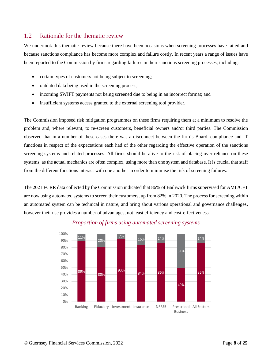#### <span id="page-7-0"></span>1.2 Rationale for the thematic review

We undertook this thematic review because there have been occasions when screening processes have failed and because sanctions compliance has become more complex and failure costly. In recent years a range of issues have been reported to the Commission by firms regarding failures in their sanctions screening processes, including:

- certain types of customers not being subject to screening;
- outdated data being used in the screening process;
- incoming SWIFT payments not being screened due to being in an incorrect format; and
- insufficient systems access granted to the external screening tool provider.

The Commission imposed risk mitigation programmes on these firms requiring them at a minimum to resolve the problem and, where relevant, to re-screen customers, beneficial owners and/or third parties. The Commission observed that in a number of these cases there was a disconnect between the firm's Board, compliance and IT functions in respect of the expectations each had of the other regarding the effective operation of the sanctions screening systems and related processes. All firms should be alive to the risk of placing over reliance on these systems, as the actual mechanics are often complex, using more than one system and database. It is crucial that staff from the different functions interact with one another in order to minimise the risk of screening failures.

The 2021 FCRR data collected by the Commission indicated that 86% of Bailiwick firms supervised for AML/CFT are now using automated systems to screen their customers, up from 82% in 2020. The process for screening within an automated system can be technical in nature, and bring about various operational and governance challenges, however their use provides a number of advantages, not least efficiency and cost-effectiveness.



#### *Proportion of firms using automated screening systems*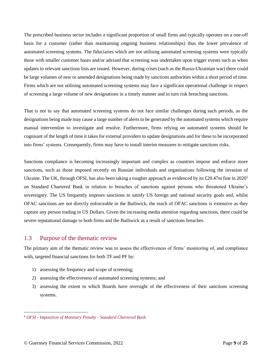The prescribed business sector includes a significant proportion of small firms and typically operates on a one-off basis for a customer (rather than maintaining ongoing business relationships) thus the lower prevalence of automated screening systems. The fiduciaries which are not utilising automated screening systems were typically those with smaller customer bases and/or advised that screening was undertaken upon trigger events such as when updates to relevant sanctions lists are issued. However, during crises (such as the Russo-Ukrainian war) there could be large volumes of new or amended designations being made by sanctions authorities within a short period of time. Firms which are not utilising automated screening systems may face a significant operational challenge in respect of screening a large volume of new designations in a timely manner and in turn risk breaching sanctions.

That is not to say that automated screening systems do not face similar challenges during such periods, as the designations being made may cause a large number of alerts to be generated by the automated systems which require manual intervention to investigate and resolve. Furthermore, firms relying on automated systems should be cognisant of the length of time it takes for external providers to update designations and for these to be incorporated into firms' systems. Consequently, firms may have to install interim measures to mitigate sanctions risks.

Sanctions compliance is becoming increasingly important and complex as countries impose and enforce more sanctions, such as those imposed recently on Russian individuals and organisations following the invasion of Ukraine. The UK, through OFSI, has also been taking a tougher approach as evidenced by its £20.47m fine in 2020<sup>5</sup> on Standard Chartered Bank in relation to breaches of sanctions against persons who threatened Ukraine's sovereignty. The US frequently imposes sanctions to satisfy US foreign and national security goals and, whilst OFAC sanctions are not directly enforceable in the Bailiwick, the reach of OFAC sanctions is extensive as they capture any person trading in US Dollars. Given the increasing media attention regarding sanctions, there could be severe reputational damage to both firms and the Bailiwick as a result of sanctions breaches.

#### <span id="page-8-0"></span>1.3 Purpose of the thematic review

The primary aim of the thematic review was to assess the effectiveness of firms' monitoring of, and compliance with, targeted financial sanctions for both TF and PF by:

- 1) assessing the frequency and scope of screening;
- 2) assessing the effectiveness of automated screening systems; and
- 3) assessing the extent to which Boards have oversight of the effectiveness of their sanctions screening systems.

<sup>5</sup> *OFSI - [Imposition of Monetary Penalty -](https://assets.publishing.service.gov.uk/government/uploads/system/uploads/attachment_data/file/876971/200331_-_SCB_Penalty_Report.pdf) Standard Chartered Bank*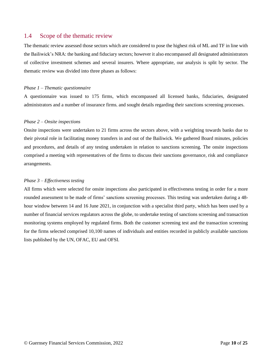#### <span id="page-9-0"></span>1.4 Scope of the thematic review

The thematic review assessed those sectors which are considered to pose the highest risk of ML and TF in line with the Bailiwick's NRA: the banking and fiduciary sectors; however it also encompassed all designated administrators of collective investment schemes and several insurers. Where appropriate, our analysis is split by sector. The thematic review was divided into three phases as follows:

#### *Phase 1 – Thematic questionnaire*

A questionnaire was issued to 175 firms, which encompassed all licensed banks, fiduciaries, designated administrators and a number of insurance firms, and sought details regarding their sanctions screening processes.

#### *Phase 2 – Onsite inspections*

Onsite inspections were undertaken to 21 firms across the sectors above, with a weighting towards banks due to their pivotal role in facilitating money transfers in and out of the Bailiwick. We gathered Board minutes, policies and procedures, and details of any testing undertaken in relation to sanctions screening. The onsite inspections comprised a meeting with representatives of the firms to discuss their sanctions governance, risk and compliance arrangements.

#### *Phase 3 – Effectiveness testing*

All firms which were selected for onsite inspections also participated in effectiveness testing in order for a more rounded assessment to be made of firms' sanctions screening processes. This testing was undertaken during a 48 hour window between 14 and 16 June 2021, in conjunction with a specialist third party, which has been used by a number of financial services regulators across the globe, to undertake testing of sanctions screening and transaction monitoring systems employed by regulated firms. Both the customer screening test and the transaction screening for the firms selected comprised 10,100 names of individuals and entities recorded in publicly available sanctions lists published by the UN, OFAC, EU and OFSI.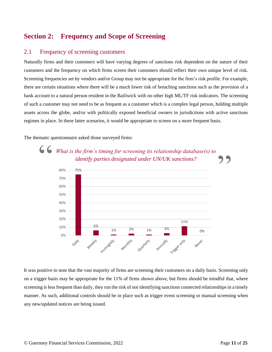## <span id="page-10-0"></span>**Section 2: Frequency and Scope of Screening**

#### <span id="page-10-1"></span>2.1 Frequency of screening customers

Naturally firms and their customers will have varying degrees of sanctions risk dependent on the nature of their customers and the frequency on which firms screen their customers should reflect their own unique level of risk. Screening frequencies set by vendors and/or Group may not be appropriate for the firm's risk profile. For example, there are certain situations where there will be a much lower risk of breaching sanctions such as the provision of a bank account to a natural person resident in the Bailiwick with no other high ML/TF risk indicators. The screening of such a customer may not need to be as frequent as a customer which is a complex legal person, holding multiple assets across the globe, and/or with politically exposed beneficial owners in jurisdictions with active sanctions regimes in place. In these latter scenarios, it would be appropriate to screen on a more frequent basis.

The thematic questionnaire asked those surveyed firms:



It was positive to note that the vast majority of firms are screening their customers on a daily basis. Screening only on a trigger basis may be appropriate for the 11% of firms shown above, but firms should be mindful that, where screening is less frequent than daily, they run the risk of not identifying sanctions connected relationships in a timely manner. As such, additional controls should be in place such as trigger event screening or manual screening when any new/updated notices are being issued.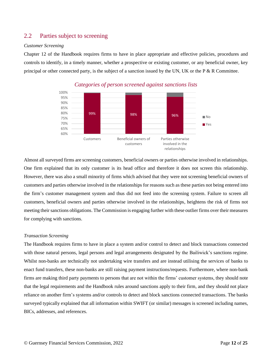#### <span id="page-11-0"></span>2.2 Parties subject to screening

#### *Customer Screening*

Chapter 12 of the Handbook requires firms to have in place appropriate and effective policies, procedures and controls to identify, in a timely manner, whether a prospective or existing customer, or any beneficial owner, key principal or other connected party, is the subject of a sanction issued by the UN, UK or the P  $\&$  R Committee.



*Categories of person screened against sanctions lists*

Almost all surveyed firms are screening customers, beneficial owners or parties otherwise involved in relationships. One firm explained that its only customer is its head office and therefore it does not screen this relationship. However, there was also a small minority of firms which advised that they were not screening beneficial owners of customers and parties otherwise involved in the relationships for reasons such as these parties not being entered into the firm's customer management system and thus did not feed into the screening system. Failure to screen all customers, beneficial owners and parties otherwise involved in the relationships, heightens the risk of firms not meeting their sanctions obligations. The Commission is engaging further with these outlier firms over their measures for complying with sanctions.

#### *Transaction Screening*

The Handbook requires firms to have in place a system and/or control to detect and block transactions connected with those natural persons, legal persons and legal arrangements designated by the Bailiwick's sanctions regime. Whilst non-banks are technically not undertaking wire transfers and are instead utilising the services of banks to enact fund transfers, these non-banks are still raising payment instructions/requests. Furthermore, where non-bank firms are making third party payments to persons that are not within the firms' customer systems, they should note that the legal requirements and the Handbook rules around sanctions apply to their firm, and they should not place reliance on another firm's systems and/or controls to detect and block sanctions connected transactions. The banks surveyed typically explained that all information within SWIFT (or similar) messages is screened including names, BICs, addresses, and references.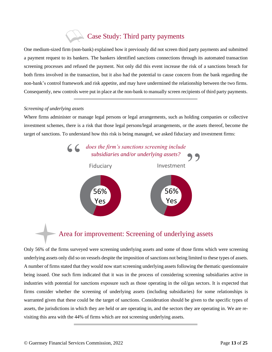## Case Study: Third party payments

One medium-sized firm (non-bank) explained how it previously did not screen third party payments and submitted a payment request to its bankers. The bankers identified sanctions connections through its automated transaction screening processes and refused the payment. Not only did this event increase the risk of a sanctions breach for both firms involved in the transaction, but it also had the potential to cause concern from the bank regarding the non-bank's control framework and risk appetite, and may have undermined the relationship between the two firms. Consequently, new controls were put in place at the non-bank to manually screen recipients of third party payments.

#### *Screening of underlying assets*

Where firms administer or manage legal persons or legal arrangements, such as holding companies or collective investment schemes, there is a risk that those legal persons/legal arrangements, or the assets thereof, become the target of sanctions. To understand how this risk is being managed, we asked fiduciary and investment firms:



## Area for improvement: Screening of underlying assets

Only 56% of the firms surveyed were screening underlying assets and some of those firms which were screening underlying assets only did so on vessels despite the imposition of sanctions not being limited to these types of assets. A number of firms stated that they would now start screening underlying assets following the thematic questionnaire being issued. One such firm indicated that it was in the process of considering screening subsidiaries active in industries with potential for sanctions exposure such as those operating in the oil/gas sectors. It is expected that firms consider whether the screening of underlying assets (including subsidiaries) for some relationships is warranted given that these could be the target of sanctions. Consideration should be given to the specific types of assets, the jurisdictions in which they are held or are operating in, and the sectors they are operating in. We are revisiting this area with the 44% of firms which are not screening underlying assets.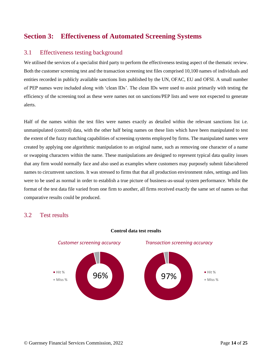## <span id="page-13-0"></span>**Section 3: Effectiveness of Automated Screening Systems**

#### <span id="page-13-1"></span>3.1 Effectiveness testing background

We utilised the services of a specialist third party to perform the effectiveness testing aspect of the thematic review. Both the customer screening test and the transaction screening test files comprised 10,100 names of individuals and entities recorded in publicly available sanctions lists published by the UN, OFAC, EU and OFSI. A small number of PEP names were included along with 'clean IDs'. The clean IDs were used to assist primarily with testing the efficiency of the screening tool as these were names not on sanctions/PEP lists and were not expected to generate alerts.

Half of the names within the test files were names exactly as detailed within the relevant sanctions list i.e. unmanipulated (control) data, with the other half being names on these lists which have been manipulated to test the extent of the fuzzy matching capabilities of screening systems employed by firms. The manipulated names were created by applying one algorithmic manipulation to an original name, such as removing one character of a name or swapping characters within the name. These manipulations are designed to represent typical data quality issues that any firm would normally face and also used as examples where customers may purposely submit false/altered names to circumvent sanctions. It was stressed to firms that that all production environment rules, settings and lists were to be used as normal in order to establish a true picture of business-as-usual system performance. Whilst the format of the test data file varied from one firm to another, all firms received exactly the same set of names so that comparative results could be produced.

#### <span id="page-13-2"></span>3.2 Test results



#### **Control data test results**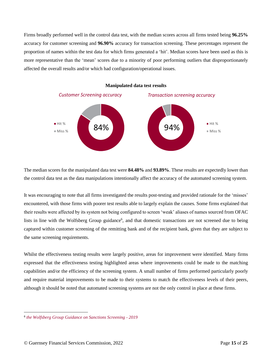Firms broadly performed well in the control data test, with the median scores across all firms tested being **96.25%** accuracy for customer screening and **96.90%** accuracy for transaction screening. These percentages represent the proportion of names within the test data for which firms generated a 'hit'. Median scores have been used as this is more representative than the 'mean' scores due to a minority of poor performing outliers that disproportionately affected the overall results and/or which had configuration/operational issues.



The median scores for the manipulated data test were **84.48%** and **93.89%**. These results are expectedly lower than the control data test as the data manipulations intentionally affect the accuracy of the automated screening system.

It was encouraging to note that all firms investigated the results post-testing and provided rationale for the 'misses' encountered, with those firms with poorer test results able to largely explain the causes. Some firms explained that their results were affected by its system not being configured to screen 'weak' aliases of names sourced from OFAC lists in line with the Wolfsberg Group guidance<sup>6</sup>, and that domestic transactions are not screened due to being captured within customer screening of the remitting bank and of the recipient bank, given that they are subject to the same screening requirements.

Whilst the effectiveness testing results were largely positive, areas for improvement were identified. Many firms expressed that the effectiveness testing highlighted areas where improvements could be made to the matching capabilities and/or the efficiency of the screening system. A small number of firms performed particularly poorly and require material improvements to be made to their systems to match the effectiveness levels of their peers, although it should be noted that automated screening systems are not the only control in place at these firms.

<sup>6</sup> *[the Wolfsberg Group Guidance on Sanctions Screening -](https://www.wolfsberg-principles.com/sites/default/files/wb/pdfs/Wolfsberg%20Guidance%20on%20Sanctions%20Screening.pdf) 2019*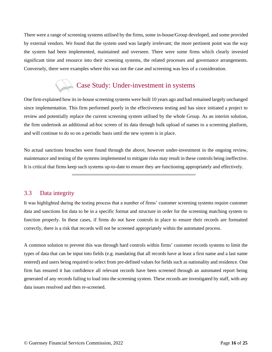There were a range of screening systems utilised by the firms, some in-house/Group developed, and some provided by external vendors. We found that the system used was largely irrelevant; the more pertinent point was the way the system had been implemented, maintained and overseen. There were some firms which clearly invested significant time and resource into their screening systems, the related processes and governance arrangements. Conversely, there were examples where this was not the case and screening was less of a consideration.

## Case Study: Under-investment in systems

One firm explained how its in-house screening systems were built 10 years ago and had remained largely unchanged since implementation. This firm performed poorly in the effectiveness testing and has since initiated a project to review and potentially replace the current screening system utilised by the whole Group. As an interim solution, the firm undertook an additional ad-hoc screen of its data through bulk upload of names to a screening platform, and will continue to do so on a periodic basis until the new system is in place.

No actual sanctions breaches were found through the above, however under-investment in the ongoing review, maintenance and testing of the systems implemented to mitigate risks may result in these controls being ineffective. It is critical that firms keep such systems up-to-date to ensure they are functioning appropriately and effectively.

#### <span id="page-15-0"></span>3.3 Data integrity

It was highlighted during the testing process that a number of firms' customer screening systems require customer data and sanctions list data to be in a specific format and structure in order for the screening matching system to function properly. In these cases, if firms do not have controls in place to ensure their records are formatted correctly, there is a risk that records will not be screened appropriately within the automated process.

A common solution to prevent this was through hard controls within firms' customer records systems to limit the types of data that can be input into fields (e.g. mandating that all records have at least a first name and a last name entered) and users being required to select from pre-defined values for fields such as nationality and residence. One firm has ensured it has confidence all relevant records have been screened through an automated report being generated of any records failing to load into the screening system. These records are investigated by staff, with any data issues resolved and then re-screened.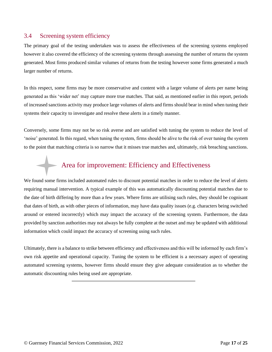#### <span id="page-16-0"></span>3.4 Screening system efficiency

The primary goal of the testing undertaken was to assess the effectiveness of the screening systems employed however it also covered the efficiency of the screening systems through assessing the number of returns the system generated. Most firms produced similar volumes of returns from the testing however some firms generated a much larger number of returns.

In this respect, some firms may be more conservative and content with a larger volume of alerts per name being generated as this 'wider net' may capture more true matches. That said, as mentioned earlier in this report, periods of increased sanctions activity may produce large volumes of alerts and firms should bear in mind when tuning their systems their capacity to investigate and resolve these alerts in a timely manner.

Conversely, some firms may not be so risk averse and are satisfied with tuning the system to reduce the level of 'noise' generated. In this regard, when tuning the system, firms should be alive to the risk of over tuning the system to the point that matching criteria is so narrow that it misses true matches and, ultimately, risk breaching sanctions.

## Area for improvement: Efficiency and Effectiveness

We found some firms included automated rules to discount potential matches in order to reduce the level of alerts requiring manual intervention. A typical example of this was automatically discounting potential matches due to the date of birth differing by more than a few years. Where firms are utilising such rules, they should be cognisant that dates of birth, as with other pieces of information, may have data quality issues (e.g. characters being switched around or entered incorrectly) which may impact the accuracy of the screening system. Furthermore, the data provided by sanction authorities may not always be fully complete at the outset and may be updated with additional information which could impact the accuracy of screening using such rules.

Ultimately, there is a balance to strike between efficiency and effectiveness and this will be informed by each firm's own risk appetite and operational capacity. Tuning the system to be efficient is a necessary aspect of operating automated screening systems, however firms should ensure they give adequate consideration as to whether the automatic discounting rules being used are appropriate.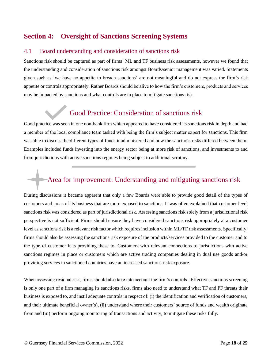## <span id="page-17-0"></span>**Section 4: Oversight of Sanctions Screening Systems**

#### <span id="page-17-1"></span>4.1 Board understanding and consideration of sanctions risk

Sanctions risk should be captured as part of firms' ML and TF business risk assessments, however we found that the understanding and consideration of sanctions risk amongst Boards/senior management was varied. Statements given such as 'we have no appetite to breach sanctions' are not meaningful and do not express the firm's risk appetite or controls appropriately. Rather Boards should be alive to how the firm's customers, products and services may be impacted by sanctions and what controls are in place to mitigate sanctions risk.

## Good Practice: Consideration of sanctions risk

Good practice was seen in one non-bank firm which appeared to have considered its sanctions risk in depth and had a member of the local compliance team tasked with being the firm's subject matter expert for sanctions. This firm was able to discuss the different types of funds it administered and how the sanctions risks differed between them. Examples included funds investing into the energy sector being at more risk of sanctions, and investments to and from jurisdictions with active sanctions regimes being subject to additional scrutiny.

## Area for improvement: Understanding and mitigating sanctions risk

During discussions it became apparent that only a few Boards were able to provide good detail of the types of customers and areas of its business that are more exposed to sanctions. It was often explained that customer level sanctions risk was considered as part of jurisdictional risk. Assessing sanctions risk solely from a jurisdictional risk perspective is not sufficient. Firms should ensure they have considered sanctions risk appropriately at a customer level as sanctions risk is a relevant risk factor which requires inclusion within ML/TF risk assessments. Specifically, firms should also be assessing the sanctions risk exposure of the products/services provided to the customer and to the type of customer it is providing these to. Customers with relevant connections to jurisdictions with active sanctions regimes in place or customers which are active trading companies dealing in dual use goods and/or providing services in sanctioned countries have an increased sanctions risk exposure.

When assessing residual risk, firms should also take into account the firm's controls. Effective sanctions screening is only one part of a firm managing its sanctions risks, firms also need to understand what TF and PF threats their business is exposed to, and instil adequate controls in respect of: (i) the identification and verification of customers, and their ultimate beneficial owner(s), (ii) understand where their customers' source of funds and wealth originate from and (iii) perform ongoing monitoring of transactions and activity, to mitigate these risks fully.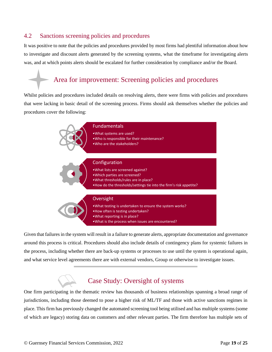#### <span id="page-18-0"></span>4.2 Sanctions screening policies and procedures

It was positive to note that the policies and procedures provided by most firms had plentiful information about how to investigate and discount alerts generated by the screening systems, what the timeframe for investigating alerts was, and at which points alerts should be escalated for further consideration by compliance and/or the Board.

## Area for improvement: Screening policies and procedures

Whilst policies and procedures included details on resolving alerts, there were firms with policies and procedures that were lacking in basic detail of the screening process. Firms should ask themselves whether the policies and procedures cover the following:



Given that failures in the system will result in a failure to generate alerts, appropriate documentation and governance around this process is critical. Procedures should also include details of contingency plans for systemic failures in the process, including whether there are back-up systems or processes to use until the system is operational again, and what service level agreements there are with external vendors, Group or otherwise to investigate issues.

## Case Study: Oversight of systems

One firm participating in the thematic review has thousands of business relationships spanning a broad range of jurisdictions, including those deemed to pose a higher risk of ML/TF and those with active sanctions regimes in place. This firm has previously changed the automated screening tool being utilised and has multiple systems (some of which are legacy) storing data on customers and other relevant parties. The firm therefore has multiple sets of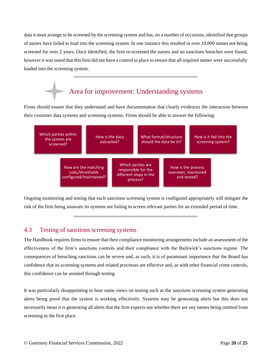data it must arrange to be screened by the screening system and has, on a number of occasions, identified that groups of names have failed to load into the screening system. In one instance this resulted in over 10,000 names not being screened for over 2 years. Once identified, the firm re-screened the names and no sanctions breaches were found, however it was noted that this firm did not have a control in place to ensure that all required names were successfully loaded into the screening system.

## Area for improvement: Understanding systems

Firms should ensure that they understand and have documentation that clearly evidences the interaction between their customer data systems and screening systems. Firms should be able to answer the following:



Ongoing monitoring and testing that each sanctions screening system is configured appropriately will mitigate the risk of the firm being unaware its systems are failing to screen relevant parties for an extended period of time.

#### <span id="page-19-0"></span>4.3 Testing of sanctions screening systems

The Handbook requires firms to ensure that their compliance monitoring arrangements include an assessment of the effectiveness of the firm's sanctions controls and their compliance with the Bailiwick's sanctions regime. The consequences of breaching sanctions can be severe and, as such, it is of paramount importance that the Board has confidence that its screening systems and related processes are effective and, as with other financial crime controls, this confidence can be assisted through testing.

It was particularly disappointing to hear some views on testing such as the sanctions screening system generating alerts being proof that the system is working effectively. Systems may be generating alerts but this does not necessarily mean it is generating all alerts that the firm expects nor whether there are any names being omitted from screening in the first place.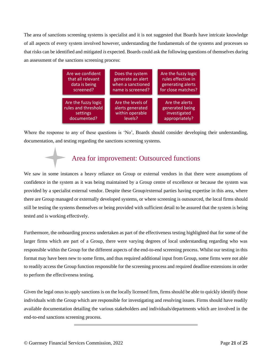The area of sanctions screening systems is specialist and it is not suggested that Boards have intricate knowledge of all aspects of every system involved however, understanding the fundamentals of the systems and processes so that risks can be identified and mitigated *is* expected. Boards could ask the following questions of themselves during an assessment of the sanctions screening process:

| Are we confident    | Does the system   | Are the fuzzy logic |
|---------------------|-------------------|---------------------|
| that all relevant   | generate an alert | rules effective in  |
| data is being       | when a sanctioned | generating alerts   |
| screened?           | name is screened? | for close matches?  |
| Are the fuzzy logic | Are the levels of | Are the alerts      |
| rules and threshold | alerts generated  | generated being     |
| settings            | within operable   | investigated        |
| documented?         | levels?           | appropriately?      |

Where the response to any of these questions is 'No', Boards should consider developing their understanding, documentation, and testing regarding the sanctions screening systems.

## Area for improvement: Outsourced functions

We saw in some instances a heavy reliance on Group or external vendors in that there were assumptions of confidence in the system as it was being maintained by a Group centre of excellence or because the system was provided by a specialist external vendor. Despite these Group/external parties having expertise in this area, where there are Group managed or externally developed systems, or where screening is outsourced, the local firms should still be testing the systems themselves or being provided with sufficient detail to be assured that the system is being tested and is working effectively.

Furthermore, the onboarding process undertaken as part of the effectiveness testing highlighted that for some of the larger firms which are part of a Group, there were varying degrees of local understanding regarding who was responsible within the Group for the different aspects of the end-to-end screening process. Whilst our testing in this format may have been new to some firms, and thus required additional input from Group, some firms were not able to readily access the Group function responsible for the screening process and required deadline extensions in order to perform the effectiveness testing.

Given the legal onus to apply sanctions is on the locally licensed firm, firms should be able to quickly identify those individuals with the Group which are responsible for investigating and resolving issues. Firms should have readily available documentation detailing the various stakeholders and individuals/departments which are involved in the end-to-end sanctions screening process.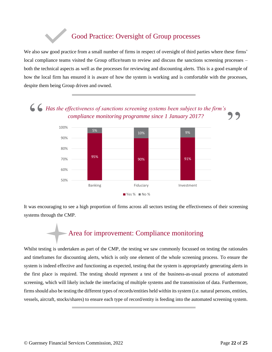## Good Practice: Oversight of Group processes

We also saw good practice from a small number of firms in respect of oversight of third parties where these firms' local compliance teams visited the Group office/team to review and discuss the sanctions screening processes – both the technical aspects as well as the processes for reviewing and discounting alerts. This is a good example of how the local firm has ensured it is aware of how the system is working and is comfortable with the processes, despite them being Group driven and owned.





It was encouraging to see a high proportion of firms across all sectors testing the effectiveness of their screening systems through the CMP.

# Area for improvement: Compliance monitoring

Whilst testing is undertaken as part of the CMP, the testing we saw commonly focussed on testing the rationales and timeframes for discounting alerts, which is only one element of the whole screening process. To ensure the system is indeed effective and functioning as expected, testing that the system is appropriately generating alerts in the first place is required. The testing should represent a test of the business-as-usual process of automated screening, which will likely include the interfacing of multiple systems and the transmission of data. Furthermore, firms should also be testing the different types of records/entities held within its system (i.e. natural persons, entities, vessels, aircraft, stocks/shares) to ensure each type of record/entity is feeding into the automated screening system.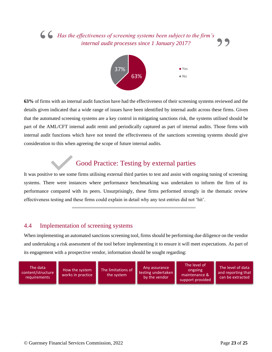# *Has the effectiveness of screening systems been subject to the firm's internal audit processes since 1 January 2017?* 66 Has the effectiveness of screening systems been subject to the firm's<br>internal audit processes since 1 January 2017?



**63%** of firms with an internal audit function have had the effectiveness of their screening systems reviewed and the details given indicated that a wide range of issues have been identified by internal audit across these firms. Given that the automated screening systems are a key control in mitigating sanctions risk, the systems utilised should be part of the AML/CFT internal audit remit and periodically captured as part of internal audits. Those firms with internal audit functions which have not tested the effectiveness of the sanctions screening systems should give consideration to this when agreeing the scope of future internal audits.

## Good Practice: Testing by external parties

It was positive to see some firms utilising external third parties to test and assist with ongoing tuning of screening systems. There were instances where performance benchmarking was undertaken to inform the firm of its performance compared with its peers. Unsurprisingly, these firms performed strongly in the thematic review effectiveness testing and these firms could explain in detail why any test entries did not 'hit'.

#### <span id="page-22-0"></span>4.4 Implementation of screening systems

When implementing an automated sanctions screening tool, firms should be performing due diligence on the vendor and undertaking a risk assessment of the tool before implementing it to ensure it will meet expectations. As part of its engagement with a prospective vendor, information should be sought regarding:

The data content/structure requirements

How the system works in practice The limitations of the system

Any assurance testing undertaken by the vendor

The level of ongoing maintenance & support provided

The level of data and reporting that can be extracted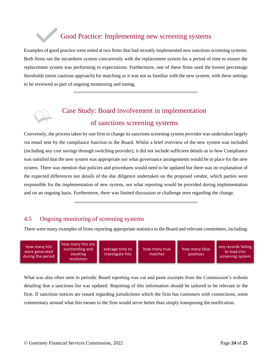## Good Practice: Implementing new screening systems

Examples of good practice were noted at two firms that had recently implemented new sanctions screening systems. Both firms ran the incumbent system concurrently with the replacement system for a period of time to ensure the replacement system was performing to expectations. Furthermore, one of these firms used the lowest percentage thresholds (most cautious approach) for matching as it was not as familiar with the new system, with these settings to be reviewed as part of ongoing monitoring and tuning.

# Case Study: Board involvement in implementation of sanctions screening systems

Conversely, the process taken by one firm to change its sanctions screening system provider was undertaken largely via email sent by the compliance function to the Board. Whilst a brief overview of the new system was included (including any cost savings through switching provider), it did not include sufficient details as to how Compliance was satisfied that the new system was appropriate nor what governance arrangements would be in place for the new system. There was mention that policies and procedures would need to be updated but there was no explanation of the expected differences nor details of the due diligence undertaken on the proposed vendor, which parties were responsible for the implementation of new system, nor what reporting would be provided during implementation and on an ongoing basis. Furthermore, there was limited discussion or challenge seen regarding the change.

#### <span id="page-23-0"></span>4.5 Ongoing monitoring of screening systems

There were many examples of firms reporting appropriate statistics to the Board and relevant committees, including:

| how many hits<br>were generated<br>during the period | how many hits are<br>outstanding and<br>awaiting<br>resolution | average time to<br>investigate hits | how many true<br>matches | how many false<br>positives | any records failing<br>to load into<br>screening system |
|------------------------------------------------------|----------------------------------------------------------------|-------------------------------------|--------------------------|-----------------------------|---------------------------------------------------------|
|------------------------------------------------------|----------------------------------------------------------------|-------------------------------------|--------------------------|-----------------------------|---------------------------------------------------------|

What was also often seen in periodic Board reporting was cut and paste excerpts from the Commission's website detailing that a sanctions list was updated. Reporting of this information should be tailored to be relevant to the firm. If sanctions notices are issued regarding jurisdictions which the firm has customers with connections, some commentary around what this means to the firm would serve better than simply transposing the notification.